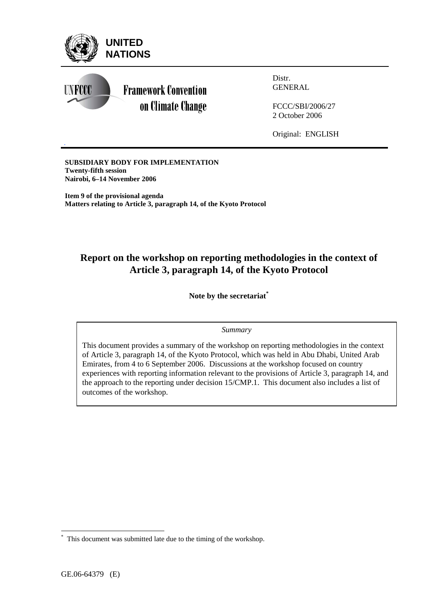

GENERAL

FCCC/SBI/2006/27 2 October 2006

Original: ENGLISH

**SUBSIDIARY BODY FOR IMPLEMENTATION Twenty-fifth session Nairobi, 6–14 November 2006** 

*.* 

**Item 9 of the provisional agenda Matters relating to Article 3, paragraph 14, of the Kyoto Protocol** 

# **Report on the workshop on reporting methodologies in the context of Article 3, paragraph 14, of the Kyoto Protocol**

**Note by the secretariat\***

#### *Summary*

This document provides a summary of the workshop on reporting methodologies in the context of Article 3, paragraph 14, of the Kyoto Protocol, which was held in Abu Dhabi, United Arab Emirates, from 4 to 6 September 2006. Discussions at the workshop focused on country experiences with reporting information relevant to the provisions of Article 3, paragraph 14, and the approach to the reporting under decision 15/CMP.1. This document also includes a list of outcomes of the workshop.

 $\overline{a}$ 

<sup>\*</sup> This document was submitted late due to the timing of the workshop.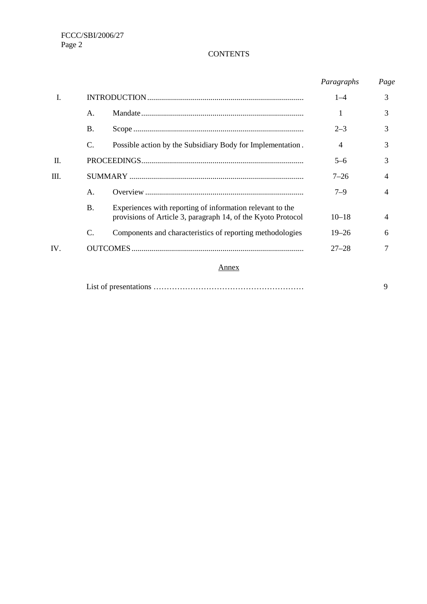#### **CONTENTS**

|     |                 |                                                                                                                           | Paragraphs     | Page           |
|-----|-----------------|---------------------------------------------------------------------------------------------------------------------------|----------------|----------------|
| L   |                 |                                                                                                                           | $1 - 4$        | 3              |
|     | A.              |                                                                                                                           |                | 3              |
|     | <b>B.</b>       |                                                                                                                           | $2 - 3$        | 3              |
|     | C.              | Possible action by the Subsidiary Body for Implementation.                                                                | $\overline{4}$ | 3              |
| П.  |                 |                                                                                                                           | $5 - 6$        | 3              |
| Ш.  |                 |                                                                                                                           | $7 - 26$       | 4              |
|     | А.              |                                                                                                                           | $7 - 9$        | $\overline{4}$ |
|     | <b>B.</b>       | Experiences with reporting of information relevant to the<br>provisions of Article 3, paragraph 14, of the Kyoto Protocol | $10 - 18$      | $\overline{4}$ |
|     | $\mathcal{C}$ . | Components and characteristics of reporting methodologies                                                                 | $19 - 26$      | 6              |
| IV. |                 |                                                                                                                           | $27 - 28$      | 7              |
|     |                 | Annex                                                                                                                     |                |                |
|     |                 |                                                                                                                           |                | 9              |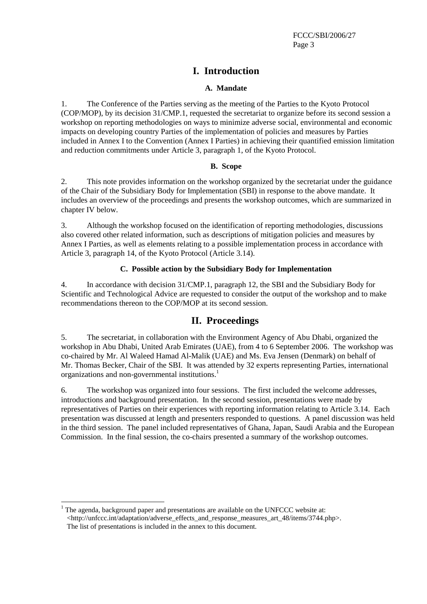## **I. Introduction**

#### **A. Mandate**

1. The Conference of the Parties serving as the meeting of the Parties to the Kyoto Protocol (COP/MOP), by its decision 31/CMP.1, requested the secretariat to organize before its second session a workshop on reporting methodologies on ways to minimize adverse social, environmental and economic impacts on developing country Parties of the implementation of policies and measures by Parties included in Annex I to the Convention (Annex I Parties) in achieving their quantified emission limitation and reduction commitments under Article 3, paragraph 1, of the Kyoto Protocol.

#### **B. Scope**

2. This note provides information on the workshop organized by the secretariat under the guidance of the Chair of the Subsidiary Body for Implementation (SBI) in response to the above mandate. It includes an overview of the proceedings and presents the workshop outcomes, which are summarized in chapter IV below.

3. Although the workshop focused on the identification of reporting methodologies, discussions also covered other related information, such as descriptions of mitigation policies and measures by Annex I Parties, as well as elements relating to a possible implementation process in accordance with Article 3, paragraph 14, of the Kyoto Protocol (Article 3.14).

#### **C. Possible action by the Subsidiary Body for Implementation**

4. In accordance with decision 31/CMP.1, paragraph 12, the SBI and the Subsidiary Body for Scientific and Technological Advice are requested to consider the output of the workshop and to make recommendations thereon to the COP/MOP at its second session.

### **II. Proceedings**

5. The secretariat, in collaboration with the Environment Agency of Abu Dhabi, organized the workshop in Abu Dhabi, United Arab Emirates (UAE), from 4 to 6 September 2006. The workshop was co-chaired by Mr. Al Waleed Hamad Al-Malik (UAE) and Ms. Eva Jensen (Denmark) on behalf of Mr. Thomas Becker, Chair of the SBI. It was attended by 32 experts representing Parties, international organizations and non-governmental institutions.<sup>1</sup>

6. The workshop was organized into four sessions. The first included the welcome addresses, introductions and background presentation. In the second session, presentations were made by representatives of Parties on their experiences with reporting information relating to Article 3.14. Each presentation was discussed at length and presenters responded to questions. A panel discussion was held in the third session. The panel included representatives of Ghana, Japan, Saudi Arabia and the European Commission. In the final session, the co-chairs presented a summary of the workshop outcomes.

 $\overline{a}$  $1$  The agenda, background paper and presentations are available on the UNFCCC website at: <http://unfccc.int/adaptation/adverse\_effects\_and\_response\_measures\_art\_48/items/3744.php>. The list of presentations is included in the annex to this document.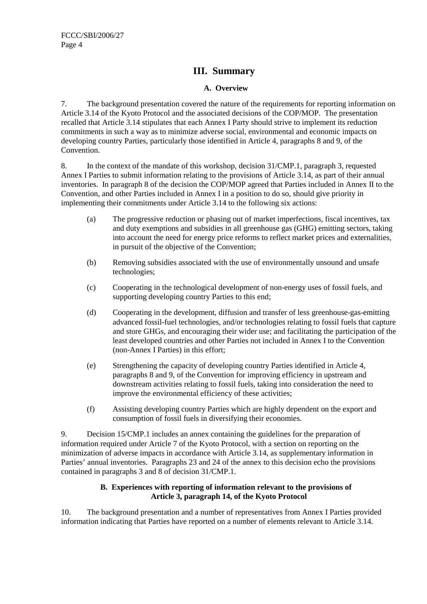### **III. Summary**

#### **A. Overview**

7. The background presentation covered the nature of the requirements for reporting information on Article 3.14 of the Kyoto Protocol and the associated decisions of the COP/MOP. The presentation recalled that Article 3.14 stipulates that each Annex I Party should strive to implement its reduction commitments in such a way as to minimize adverse social, environmental and economic impacts on developing country Parties, particularly those identified in Article 4, paragraphs 8 and 9, of the Convention.

8. In the context of the mandate of this workshop, decision 31/CMP.1, paragraph 3, requested Annex I Parties to submit information relating to the provisions of Article 3.14, as part of their annual inventories. In paragraph 8 of the decision the COP/MOP agreed that Parties included in Annex II to the Convention, and other Parties included in Annex I in a position to do so, should give priority in implementing their commitments under Article 3.14 to the following six actions:

- (a) The progressive reduction or phasing out of market imperfections, fiscal incentives, tax and duty exemptions and subsidies in all greenhouse gas (GHG) emitting sectors, taking into account the need for energy price reforms to reflect market prices and externalities, in pursuit of the objective of the Convention;
- (b) Removing subsidies associated with the use of environmentally unsound and unsafe technologies;
- (c) Cooperating in the technological development of non-energy uses of fossil fuels, and supporting developing country Parties to this end;
- (d) Cooperating in the development, diffusion and transfer of less greenhouse-gas-emitting advanced fossil-fuel technologies, and/or technologies relating to fossil fuels that capture and store GHGs, and encouraging their wider use; and facilitating the participation of the least developed countries and other Parties not included in Annex I to the Convention (non-Annex I Parties) in this effort;
- (e) Strengthening the capacity of developing country Parties identified in Article 4, paragraphs 8 and 9, of the Convention for improving efficiency in upstream and downstream activities relating to fossil fuels, taking into consideration the need to improve the environmental efficiency of these activities;
- (f) Assisting developing country Parties which are highly dependent on the export and consumption of fossil fuels in diversifying their economies.

9. Decision 15/CMP.1 includes an annex containing the guidelines for the preparation of information required under Article 7 of the Kyoto Protocol, with a section on reporting on the minimization of adverse impacts in accordance with Article 3.14, as supplementary information in Parties' annual inventories. Paragraphs 23 and 24 of the annex to this decision echo the provisions contained in paragraphs 3 and 8 of decision 31/CMP.1.

#### **B. Experiences with reporting of information relevant to the provisions of Article 3, paragraph 14, of the Kyoto Protocol**

10. The background presentation and a number of representatives from Annex I Parties provided information indicating that Parties have reported on a number of elements relevant to Article 3.14.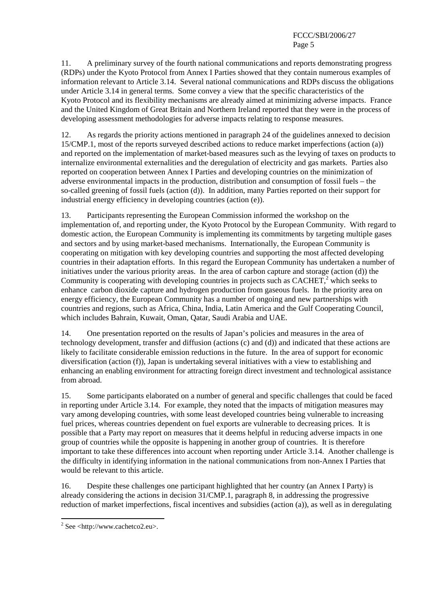11. A preliminary survey of the fourth national communications and reports demonstrating progress (RDPs) under the Kyoto Protocol from Annex I Parties showed that they contain numerous examples of information relevant to Article 3.14. Several national communications and RDPs discuss the obligations under Article 3.14 in general terms. Some convey a view that the specific characteristics of the Kyoto Protocol and its flexibility mechanisms are already aimed at minimizing adverse impacts. France and the United Kingdom of Great Britain and Northern Ireland reported that they were in the process of developing assessment methodologies for adverse impacts relating to response measures.

12. As regards the priority actions mentioned in paragraph 24 of the guidelines annexed to decision 15/CMP.1, most of the reports surveyed described actions to reduce market imperfections (action (a)) and reported on the implementation of market-based measures such as the levying of taxes on products to internalize environmental externalities and the deregulation of electricity and gas markets. Parties also reported on cooperation between Annex I Parties and developing countries on the minimization of adverse environmental impacts in the production, distribution and consumption of fossil fuels – the so-called greening of fossil fuels (action (d)). In addition, many Parties reported on their support for industrial energy efficiency in developing countries (action (e)).

13. Participants representing the European Commission informed the workshop on the implementation of, and reporting under, the Kyoto Protocol by the European Community. With regard to domestic action, the European Community is implementing its commitments by targeting multiple gases and sectors and by using market-based mechanisms. Internationally, the European Community is cooperating on mitigation with key developing countries and supporting the most affected developing countries in their adaptation efforts. In this regard the European Community has undertaken a number of initiatives under the various priority areas. In the area of carbon capture and storage (action (d)) the Community is cooperating with developing countries in projects such as  $CACHET$ ,<sup>2</sup> which seeks to enhance carbon dioxide capture and hydrogen production from gaseous fuels. In the priority area on energy efficiency, the European Community has a number of ongoing and new partnerships with countries and regions, such as Africa, China, India, Latin America and the Gulf Cooperating Council, which includes Bahrain, Kuwait, Oman, Qatar, Saudi Arabia and UAE.

14. One presentation reported on the results of Japan's policies and measures in the area of technology development, transfer and diffusion (actions (c) and (d)) and indicated that these actions are likely to facilitate considerable emission reductions in the future. In the area of support for economic diversification (action (f)), Japan is undertaking several initiatives with a view to establishing and enhancing an enabling environment for attracting foreign direct investment and technological assistance from abroad.

15. Some participants elaborated on a number of general and specific challenges that could be faced in reporting under Article 3.14. For example, they noted that the impacts of mitigation measures may vary among developing countries, with some least developed countries being vulnerable to increasing fuel prices, whereas countries dependent on fuel exports are vulnerable to decreasing prices. It is possible that a Party may report on measures that it deems helpful in reducing adverse impacts in one group of countries while the opposite is happening in another group of countries. It is therefore important to take these differences into account when reporting under Article 3.14. Another challenge is the difficulty in identifying information in the national communications from non-Annex I Parties that would be relevant to this article.

16. Despite these challenges one participant highlighted that her country (an Annex I Party) is already considering the actions in decision 31/CMP.1, paragraph 8, in addressing the progressive reduction of market imperfections, fiscal incentives and subsidies (action (a)), as well as in deregulating

 $2$  See <http://www.cachetco2.eu>.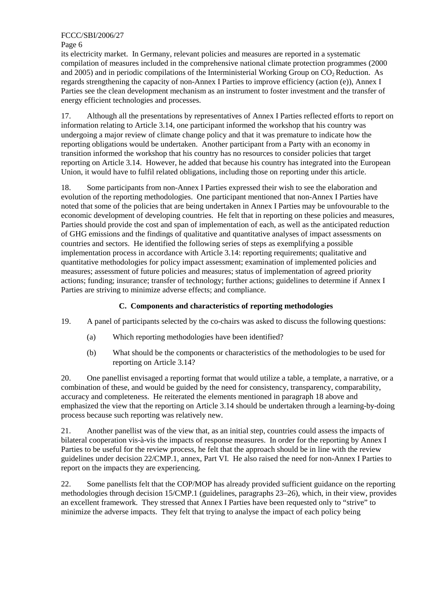#### FCCC/SBI/2006/27

Page 6

its electricity market. In Germany, relevant policies and measures are reported in a systematic compilation of measures included in the comprehensive national climate protection programmes (2000 and 2005) and in periodic compilations of the Interministerial Working Group on  $CO<sub>2</sub>$  Reduction. As regards strengthening the capacity of non-Annex I Parties to improve efficiency (action (e)), Annex I Parties see the clean development mechanism as an instrument to foster investment and the transfer of energy efficient technologies and processes.

17. Although all the presentations by representatives of Annex I Parties reflected efforts to report on information relating to Article 3.14, one participant informed the workshop that his country was undergoing a major review of climate change policy and that it was premature to indicate how the reporting obligations would be undertaken. Another participant from a Party with an economy in transition informed the workshop that his country has no resources to consider policies that target reporting on Article 3.14. However, he added that because his country has integrated into the European Union, it would have to fulfil related obligations, including those on reporting under this article.

18. Some participants from non-Annex I Parties expressed their wish to see the elaboration and evolution of the reporting methodologies. One participant mentioned that non-Annex I Parties have noted that some of the policies that are being undertaken in Annex I Parties may be unfovourable to the economic development of developing countries. He felt that in reporting on these policies and measures, Parties should provide the cost and span of implementation of each, as well as the anticipated reduction of GHG emissions and the findings of qualitative and quantitative analyses of impact assessments on countries and sectors. He identified the following series of steps as exemplifying a possible implementation process in accordance with Article 3.14: reporting requirements; qualitative and quantitative methodologies for policy impact assessment; examination of implemented policies and measures; assessment of future policies and measures; status of implementation of agreed priority actions; funding; insurance; transfer of technology; further actions; guidelines to determine if Annex I Parties are striving to minimize adverse effects; and compliance.

#### **C. Components and characteristics of reporting methodologies**

19. A panel of participants selected by the co-chairs was asked to discuss the following questions:

- (a) Which reporting methodologies have been identified?
- (b) What should be the components or characteristics of the methodologies to be used for reporting on Article 3.14?

20. One panellist envisaged a reporting format that would utilize a table, a template, a narrative, or a combination of these, and would be guided by the need for consistency, transparency, comparability, accuracy and completeness. He reiterated the elements mentioned in paragraph 18 above and emphasized the view that the reporting on Article 3.14 should be undertaken through a learning-by-doing process because such reporting was relatively new.

21. Another panellist was of the view that, as an initial step, countries could assess the impacts of bilateral cooperation vis-à-vis the impacts of response measures. In order for the reporting by Annex I Parties to be useful for the review process, he felt that the approach should be in line with the review guidelines under decision 22/CMP.1, annex, Part VI. He also raised the need for non-Annex I Parties to report on the impacts they are experiencing.

22. Some panellists felt that the COP/MOP has already provided sufficient guidance on the reporting methodologies through decision 15/CMP.1 (guidelines, paragraphs 23–26), which, in their view, provides an excellent framework. They stressed that Annex I Parties have been requested only to "strive" to minimize the adverse impacts. They felt that trying to analyse the impact of each policy being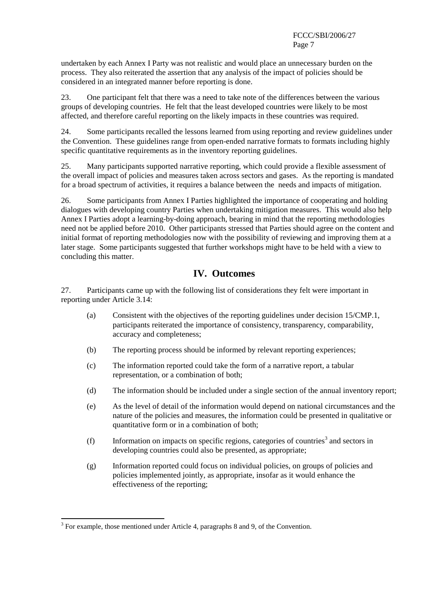undertaken by each Annex I Party was not realistic and would place an unnecessary burden on the process. They also reiterated the assertion that any analysis of the impact of policies should be considered in an integrated manner before reporting is done.

23. One participant felt that there was a need to take note of the differences between the various groups of developing countries. He felt that the least developed countries were likely to be most affected, and therefore careful reporting on the likely impacts in these countries was required.

24. Some participants recalled the lessons learned from using reporting and review guidelines under the Convention. These guidelines range from open-ended narrative formats to formats including highly specific quantitative requirements as in the inventory reporting guidelines.

25. Many participants supported narrative reporting, which could provide a flexible assessment of the overall impact of policies and measures taken across sectors and gases. As the reporting is mandated for a broad spectrum of activities, it requires a balance between the needs and impacts of mitigation.

26. Some participants from Annex I Parties highlighted the importance of cooperating and holding dialogues with developing country Parties when undertaking mitigation measures. This would also help Annex I Parties adopt a learning-by-doing approach, bearing in mind that the reporting methodologies need not be applied before 2010. Other participants stressed that Parties should agree on the content and initial format of reporting methodologies now with the possibility of reviewing and improving them at a later stage. Some participants suggested that further workshops might have to be held with a view to concluding this matter.

### **IV. Outcomes**

27. Participants came up with the following list of considerations they felt were important in reporting under Article 3.14:

- (a) Consistent with the objectives of the reporting guidelines under decision 15/CMP.1, participants reiterated the importance of consistency, transparency, comparability, accuracy and completeness;
- (b) The reporting process should be informed by relevant reporting experiences;
- (c) The information reported could take the form of a narrative report, a tabular representation, or a combination of both;
- (d) The information should be included under a single section of the annual inventory report;
- (e) As the level of detail of the information would depend on national circumstances and the nature of the policies and measures, the information could be presented in qualitative or quantitative form or in a combination of both;
- $(f)$  Information on impacts on specific regions, categories of countries<sup>3</sup> and sectors in developing countries could also be presented, as appropriate;
- (g) Information reported could focus on individual policies, on groups of policies and policies implemented jointly, as appropriate, insofar as it would enhance the effectiveness of the reporting;

 $3$  For example, those mentioned under Article 4, paragraphs 8 and 9, of the Convention.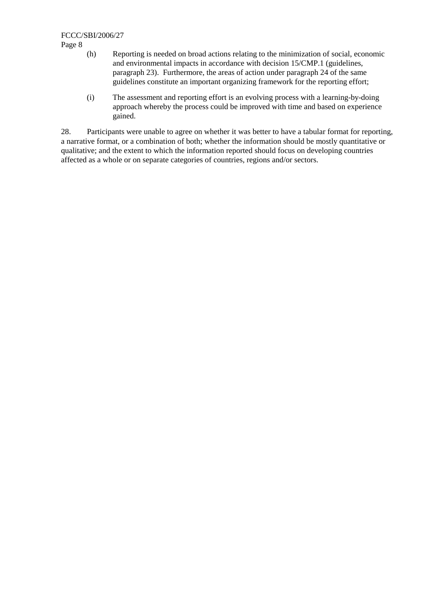Page 8

- (h) Reporting is needed on broad actions relating to the minimization of social, economic and environmental impacts in accordance with decision 15/CMP.1 (guidelines, paragraph 23). Furthermore, the areas of action under paragraph 24 of the same guidelines constitute an important organizing framework for the reporting effort;
- (i) The assessment and reporting effort is an evolving process with a learning-by-doing approach whereby the process could be improved with time and based on experience gained.

28. Participants were unable to agree on whether it was better to have a tabular format for reporting, a narrative format, or a combination of both; whether the information should be mostly quantitative or qualitative; and the extent to which the information reported should focus on developing countries affected as a whole or on separate categories of countries, regions and/or sectors.